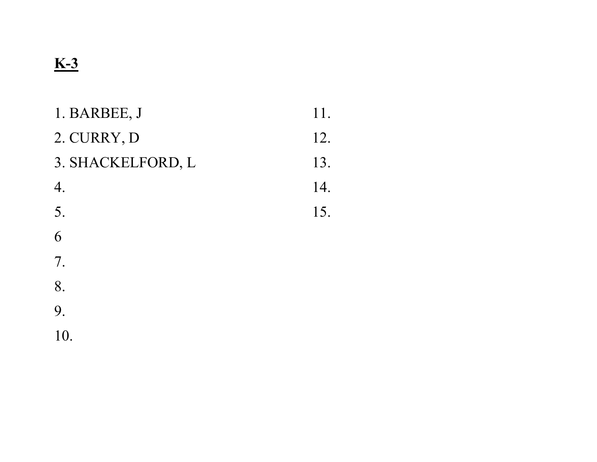# K-3

| 1. BARBEE, J      | 11. |
|-------------------|-----|
| 2. CURRY, D       | 12. |
| 3. SHACKELFORD, L | 13. |
| 4.                | 14. |
| 5.                | 15. |
| 6                 |     |
| 7.                |     |
| 8.                |     |
| 9.                |     |
| 10.               |     |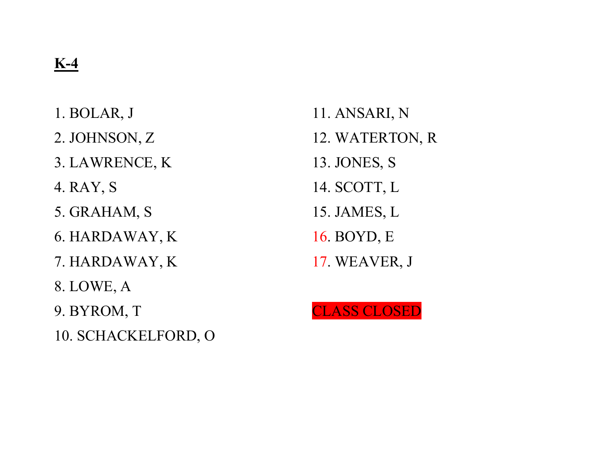1. BOLAR, J 2. JOHNSON, Z 3. LAWRENCE, K 4. RAY, S 5. GRAHAM, S 6. HARDAWAY, K 7. HARDAWAY, K 8. LOWE, A 9. BYROM, T 10. SCHACKELFORD, O

11. ANSARI, N 12. WATERTON, R 13. JONES, S 14. SCOTT, L 15. JAMES, L 16. BOYD, E 17. WEAVER, J

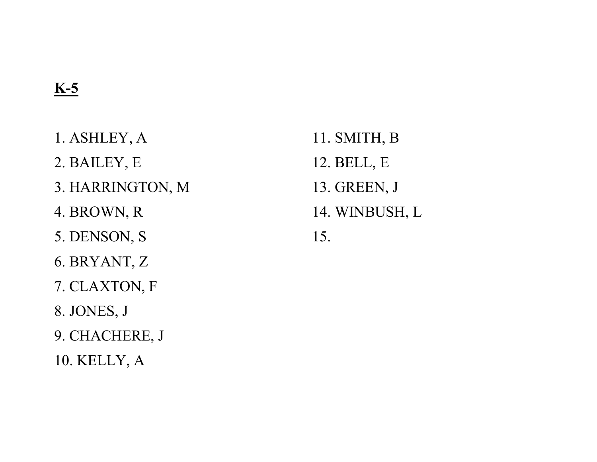# K-5

- 1. ASHLEY, A
- 2. BAILEY, E
- 3. HARRINGTON, M
- 4. BROWN, R
- 5. DENSON, S
- 6. BRYANT, Z
- 7. CLAXTON, F
- 8. JONES, J
- 9. CHACHERE, J
- 10. KELLY, A
- 11. SMITH, B 12. BELL, E 13. GREEN, J
- 14. WINBUSH, L
- 15.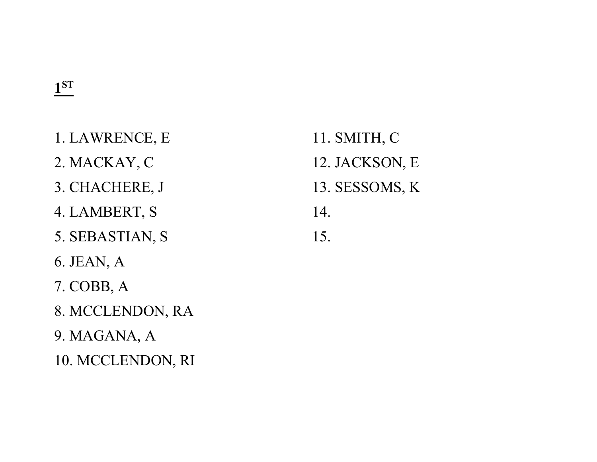#### 1 ST

- 1. LAWRENCE, E
- 2. MACKAY, C
- 3. CHACHERE, J
- 4. LAMBERT, S
- 5. SEBASTIAN, S
- 6. JEAN, A
- 7. COBB, A
- 8. MCCLENDON, RA
- 9. MAGANA, A
- 10. MCCLENDON, RI
- 11. SMITH, C 12. JACKSON, E 13. SESSOMS, K 14.
- 15.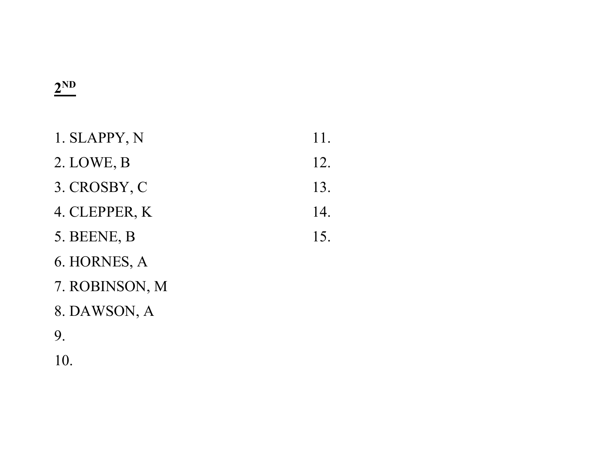#### $2^{\text{ND}}$

| 1. SLAPPY, N   | 11. |
|----------------|-----|
| 2. LOWE, B     | 12. |
| 3. CROSBY, C   | 13. |
| 4. CLEPPER, K  | 14. |
| 5. BEENE, B    | 15. |
| 6. HORNES, A   |     |
| 7. ROBINSON, M |     |
|                |     |

8. DAWSON, A

9.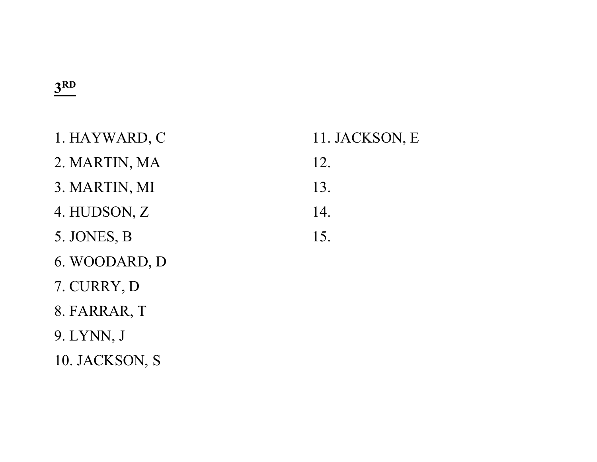#### 3 RD

| 1. HAYWARD, C | 11. JACKSON, E |
|---------------|----------------|
| 2. MARTIN, MA | 12.            |
| 3. MARTIN, MI | 13.            |
| 4. HUDSON, Z  | 14.            |
| 5. JONES, B   | 15.            |
| 6. WOODARD, D |                |
| 7. CURRY, D   |                |
| 8. FARRAR, T  |                |
| 9. LYNN, J    |                |

10. JACKSON, S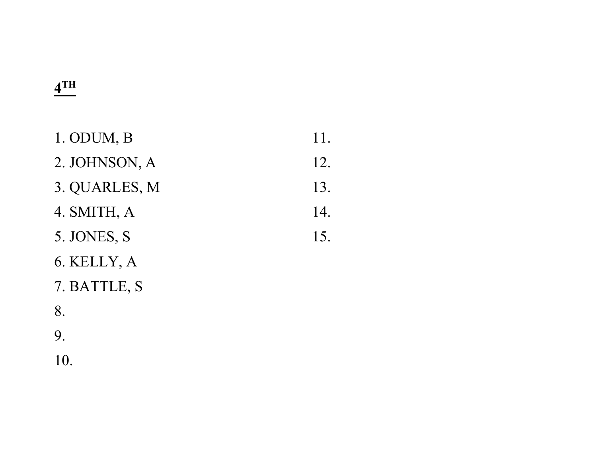#### 4<sup>TH</sup>

| 1. ODUM, B    | 11. |
|---------------|-----|
| 2. JOHNSON, A | 12. |
| 3. QUARLES, M | 13. |
| 4. SMITH, A   | 14. |
| 5. JONES, S   | 15. |
| 6. KELLY, A   |     |
| 7. BATTLE, S  |     |

8.

9.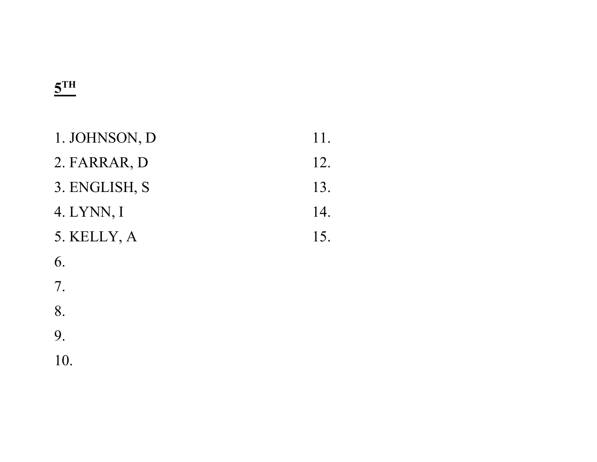### $\frac{5^{TH}}{2}$

| 1. JOHNSON, D | 11. |
|---------------|-----|
| 2. FARRAR, D  | 12. |
| 3. ENGLISH, S | 13. |
| 4. LYNN, I    | 14. |
| 5. KELLY, A   | 15. |
| 6.            |     |
| 7.            |     |
| 8.            |     |
| 9.            |     |
| 10.           |     |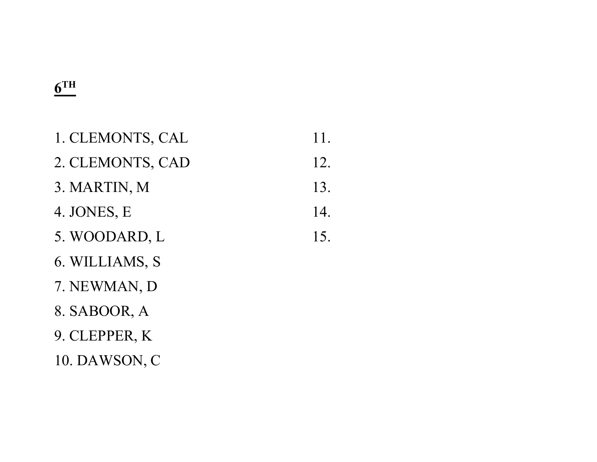#### $\underline{6}$ TH

| 1. CLEMONTS, CAL | 11. |
|------------------|-----|
| 2. CLEMONTS, CAD | 12. |
| 3. MARTIN, M     | 13. |
| 4. JONES, E      | 14. |
| 5. WOODARD, L    | 15. |
| 6. WILLIAMS, S   |     |
| 7. NEWMAN, D     |     |
| 8. SABOOR, A     |     |
| 9. CLEPPER, K    |     |
| 10. DAWSON, C    |     |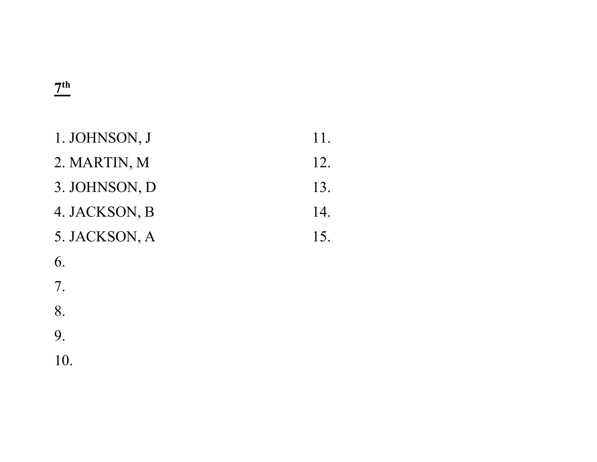#### $\frac{7^{th}}{2}$

| 1. JOHNSON, J                  | 11. |
|--------------------------------|-----|
| 2. MARTIN, M                   | 12. |
| 3. JOHNSON, D                  | 13. |
| 4. JACKSON, B                  | 14. |
| 5. JACKSON, A                  | 15. |
| 6.                             |     |
| $7_{\scriptscriptstyle \perp}$ |     |

8.

9.